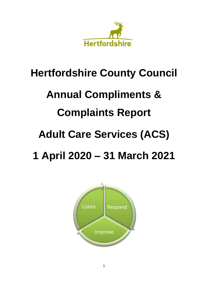

### **Hertfordshire County Council**

# **Annual Compliments &**

### **Complaints Report**

### **Adult Care Services (ACS)**

## **1 April 2020 – 31 March 2021**

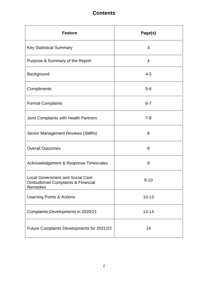### **Contents**

| <b>Feature</b>                                                                                     | Page(s)   |
|----------------------------------------------------------------------------------------------------|-----------|
| <b>Key Statistical Summary</b>                                                                     | 3         |
| Purpose & Summary of the Report                                                                    | 4         |
| Background                                                                                         | $4 - 5$   |
| Compliments                                                                                        | $5-6$     |
| <b>Formal Complaints</b>                                                                           | $6 - 7$   |
| Joint Complaints with Health Partners                                                              | $7 - 8$   |
| <b>Senior Management Reviews (SMRs)</b>                                                            | 8         |
| <b>Overall Outcomes</b>                                                                            | 8         |
| Acknowledgement & Response Timescales                                                              | 9         |
| <b>Local Government and Social Care</b><br><b>Ombudsman Complaints &amp; Financial</b><br>Remedies | $9 - 10$  |
| Learning Points & Actions                                                                          | $10 - 13$ |
| Complaints Developments in 2020/21                                                                 | $13 - 14$ |
| Future Complaints Developments for 2021/22                                                         | 14        |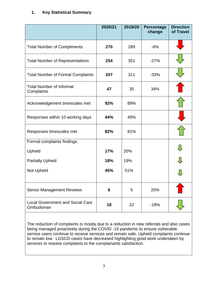#### **1. Key Statistical Summary**

|                                                      | 2020/21 | 2019/20 | Percentage<br>change | <b>Direction</b><br>of Travel |
|------------------------------------------------------|---------|---------|----------------------|-------------------------------|
| <b>Total Number of Compliments</b>                   | 270     | 289     | $-6%$                |                               |
| <b>Total Number of Representations</b>               | 254     | 351     | $-27%$               |                               |
| <b>Total Number of Formal Complaints</b>             | 207     | 311     | $-33%$               |                               |
| <b>Total Number of Informal</b><br>Complaints        | 47      | 35      | 34%                  |                               |
| Acknowledgement timescales met                       | 92%     | 89%     |                      |                               |
| Responses within 10 working days                     | 44%     | 49%     |                      |                               |
| Responses timescales met                             | 82%     | 81%     |                      |                               |
| Formal complaints findings:                          |         |         |                      |                               |
| Upheld                                               | 17%     | 20%     |                      |                               |
| <b>Partially Upheld</b>                              | 18%     | 19%     |                      |                               |
| Not Upheld                                           | 45%     | 51%     |                      |                               |
| <b>Senior Management Reviews</b>                     | 6       | 5       | 20%                  |                               |
| <b>Local Government and Social Care</b><br>Ombudsman | 18      | 22      | $-18%$               |                               |

The reduction of complaints is mostly due to a reduction in new referrals and also cases being managed proactively during the COVID -19 pandemic to ensure vulnerable service users continue to receive services and remain safe. Upheld complaints continue to remain low. LGSCO cases have decreased highlighting good work undertaken by services to resolve complaints to the complainants satisfaction.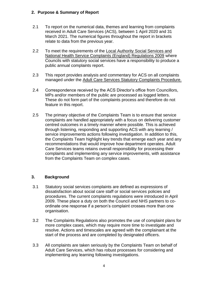#### **2. Purpose & Summary of Report**

- 2.1 To report on the numerical data, themes and learning from complaints received in Adult Care Services (ACS), between 1 April 2020 and 31 March 2021. The numerical figures throughout the report in brackets relate to data from the previous year.
- 2.2 To meet the requirements of the [Local Authority Social Services and](http://www.legislation.gov.uk/uksi/2009/309/regulation/16/made)  [National Health Service Complaints \(England\) Regulations 2009](http://www.legislation.gov.uk/uksi/2009/309/regulation/16/made) where Councils with statutory social services have a responsibility to produce a public annual complaints report.
- 2.3 This report provides analysis and commentary for ACS on all complaints managed under the [Adult Care Services Statutory Complaints Procedure.](https://www.hertfordshire.gov.uk/About-the-council/Complain-or-comment/Make-a-complaint.aspx)
- 2.4 Correspondence received by the ACS Director's office from Councillors, MPs and/or members of the public are processed as logged letters. These do not form part of the complaints process and therefore do not feature in this report.
- 2.5 The primary objective of the Complaints Team is to ensure that service complaints are handled appropriately with a focus on delivering customer centred outcomes in a timely manner where possible. This is achieved through listening, responding and supporting ACS with any learning / service improvements actions following investigation. In addition to this, the Complaints Team highlight key trends that emerge each year and any recommendations that would improve how department operates. Adult Care Services teams retains overall responsibility for processing their complaints and implementing any service improvements, with assistance from the Complaints Team on complex cases.

#### **3. Background**

- 3.1 Statutory social services complaints are defined as expressions of dissatisfaction about social care staff or social services policies and procedures. The current complaints regulations were introduced in April 2009. These place a duty on both the Council and NHS partners to coordinate one response if a person's complaint crosses more than one organisation.
- 3.2 The Complaints Regulations also promotes the use of complaint plans for more complex cases, which may require more time to investigate and resolve. Actions and timescales are agreed with the complainant at the start of the process and are completed by designated officers.
- 3.3 All complaints are taken seriously by the Complaints Team on behalf of Adult Care Services, which has robust processes for considering and implementing any learning following investigations.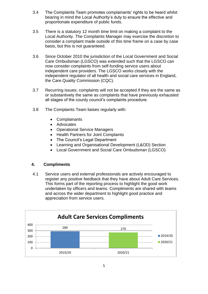- 3.4 The Complaints Team promotes complainants' rights to be heard whilst bearing in mind the Local Authority's duty to ensure the effective and proportionate expenditure of public funds.
- 3.5 There is a statutory 12 month time limit on making a complaint to the Local Authority. The Complaints Manager may exercise the discretion to consider a complaint made outside of this time frame on a case by case basis, but this is not guaranteed.
- 3.6 Since October 2010 the jurisdiction of the Local Government and Social Care Ombudsman (LGSCO) was extended such that the LGSCO can now consider complaints from self-funding service users about independent care providers. The LGSCO works closely with the independent regulator of all health and social care services in England, the Care Quality Commission (CQC).
- 3.7 Recurring issues; complaints will not be accepted if they are the same as or substantively the same as complaints that have previously exhausted all stages of the county council's complaints procedure.
- 3.8 The Complaints Team liaises regularly with:
	- Complainants
	- Advocates
	- Operational Service Managers
	- Health Partners for Joint Complaints
	- The Council's Legal Department
	- Learning and Organisational Development (L&OD) Section
	- Local Government and Social Care Ombudsman (LGSCO)

#### **4. Compliments**

4.1 Service users and external professionals are actively encouraged to register any positive feedback that they have about Adult Care Services. This forms part of the reporting process to highlight the good work undertaken by officers and teams. Compliments are shared with teams and across the wider department to highlight good practice and appreciation from service users.

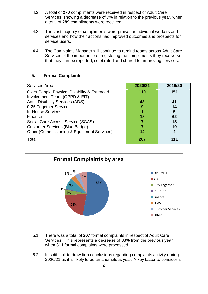- 4.2 A total of **270** compliments were received in respect of Adult Care Services, showing a decrease of 7% in relation to the previous year, when a total of **289** compliments were received.
- 4.3 The vast majority of compliments were praise for individual workers and services and how their actions had improved outcomes and prospects for service users.
- 4.4 The Complaints Manager will continue to remind teams across Adult Care Services of the importance of registering the compliments they receive so that they can be reported, celebrated and shared for improving services.

#### **5. Formal Complaints**

| Services Area                               | 2020/21 | 2019/20 |
|---------------------------------------------|---------|---------|
| Older People Physical Disability & Extended | 110     | 151     |
| Involvement Team (OPPD & EIT)               |         |         |
| <b>Adult Disability Services (ADS)</b>      | 43      | 41      |
| 0-25 Together Service                       | 9       | 14      |
| <b>In-House Services</b>                    |         | 5       |
| Finance                                     | 18      | 62      |
| Social Care Access Service (SCAS)           |         | 15      |
| <b>Customer Services (Blue Badge)</b>       |         | 19      |
| Other (Commissioning & Equipment Services)  | 12      |         |
| Total                                       | 207     | 311     |



- 5.1 There was a total of **207** formal complaints in respect of Adult Care Services. This represents a decrease of 33**%** from the previous year when **311** formal complaints were processed.
- 5.2 It is difficult to draw firm conclusions regarding complaints activity during 2020/21 as it is likely to be an anomalous year. A key factor to consider is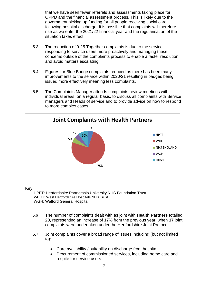that we have seen fewer referrals and assessments taking place for OPPD and the financial assessment process. This is likely due to the government picking up funding for all people receiving social care following hospital discharge. It is possible that complaints will therefore rise as we enter the 2021/22 financial year and the regularisation of the situation takes effect.

- 5.3 The reduction of 0-25 Together complaints is due to the service responding to service users more proactively and managing these concerns outside of the complaints process to enable a faster resolution and avoid matters escalating.
- 5.4 Figures for Blue Badge complaints reduced as there has been many improvements to the service within 2020/21 resulting in badges being issued more effectively meaning less complaints.
- 5.5 The Complaints Manager attends complaints review meetings with individual areas, on a regular basis, to discuss all complaints with Service managers and Heads of service and to provide advice on how to respond to more complex cases.



Key:

 HPFT: Hertfordshire Partnership University NHS Foundation Trust WHHT: West Hertfordshire Hospitals NHS Trust WGH: Watford General Hospital

- 5.6 The number of complaints dealt with as joint with **Health Partners** totalled **20**, representing an increase of 17% from the previous year, when **17** joint complaints were undertaken under the Hertfordshire Joint Protocol.
- 5.7 Joint complaints cover a broad range of issues including (but not limited to):
	- Care availability / suitability on discharge from hospital
	- Procurement of commissioned services, including home care and respite for service users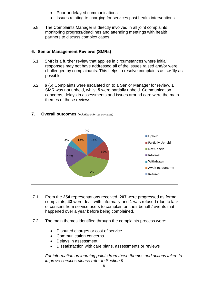- Poor or delayed communications
- Issues relating to charging for services post health interventions
- 5.8 The Complaints Manager is directly involved in all joint complaints, monitoring progress/deadlines and attending meetings with health partners to discuss complex cases.

#### **6. Senior Management Reviews (SMRs)**

- 6.1 SMR is a further review that applies in circumstances where initial responses may not have addressed all of the issues raised and/or were challenged by complainants. This helps to resolve complaints as swiftly as possible.
- 6.2 **6** (5) Complaints were escalated on to a Senior Manager for review. **1** SMR was not upheld, whilst **5** were partially upheld. Communication concerns, delays in assessments and issues around care were the main themes of these reviews.



**7. Overall outcomes** *(including informal concerns)*

- 7.1 From the **254** representations received, **207** were progressed as formal complaints, **43** were dealt with informally and **1** was refused (due to lack of consent from service users to complain on their behalf / events that happened over a year before being complained.
- 7.2 The main themes identified through the complaints process were:
	- Disputed charges or cost of service
	- Communication concerns
	- Delays in assessment
	- Dissatisfaction with care plans, assessments or reviews

*For information on learning points from these themes and actions taken to improve services please refer to Section 9*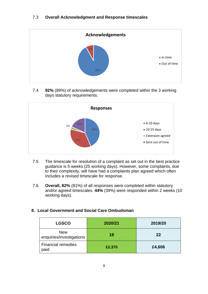

7.4 **92%** (89%) of acknowledgements were completed within the 3 working days statutory requirements.



- 7.5 The timescale for resolution of a complaint as set out in the best practice guidance is 5 weeks (25 working days). However, some complaints, due to their complexity, will have had a complaints plan agreed which often includes a revised timescale for response.
- 7.6 **Overall, 82%** (81%) of all responses were completed within statutory and/or agreed timescales. **44%** (39%) were responded within 2 weeks (10 working days).

#### **8. Local Government and Social Care Ombudsman**

| <b>LGSCO</b>                           | 2020/21 | 2019/20 |
|----------------------------------------|---------|---------|
| <b>New</b><br>enquiries/investigations | 18      | 22      |
| <b>Financial remedies</b><br>paid      | £2,370  | £4,606  |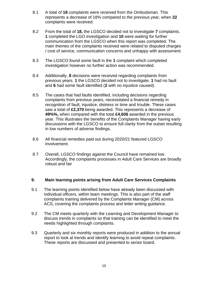- 8.1 A total of **18** complaints were received from the Ombudsman. This represents a decrease of 18% compared to the previous year, when **22** complaints were received.
- 8.2 From the total of **18,** the LGSCO decided not to investigate **7** complaints. **1** completed the LGO investigation and **10** were waiting for further communication from the LGSCO when this report was completed. The main themes of the complaints received were related to disputed charges / cost of service, communication concerns and unhappy with assessment.
- 8.3 The LGSCO found some fault in the **1** complaint which completed investigation however no further action was recommended.
- 8.4 Additionally, **8** decisions were received regarding complaints from previous years. **1** the LGSCO decided not to investigate, **1** had no fault and **6** had some fault identified (**2** with no injustice caused).
- 8.5 The cases that had faults identified, including decisions regarding complaints from previous years, necessitated a financial remedy in recognition of fault, injustice, distress or time and trouble. These cases saw a total of **£2,370** being awarded. This represents a decrease of **49%%,** when compared with the total **£4,606** awarded in the previous year. This illustrates the benefits of the Complaints Manager having early discussions with the LGSCO to ensure full clarity from the outset resulting in low numbers of adverse findings.
- 8.6 All financial remedies paid out during 2020/21 featured LGSCO involvement.
- 8.7 Overall, LGSCO findings against the Council have remained low. Accordingly, the complaints processes in Adult Care Services are broadly robust and fair

#### **9. Main learning points arising from Adult Care Services Complaints**

- 9.1 The learning points identified below have already been discussed with individual officers, within team meetings. This is also part of the staff complaints training delivered by the Complaints Manager (CM) across ACS, covering the complaints process and letter writing guidance.
- 9.2 The CM meets quarterly with the Learning and Development Manager to discuss trends in complaints so that training can be identified to meet the needs highlighted through complaints.
- 9.3 Quarterly and six monthly reports were produced in addition to the annual report to look at trends and identify learning to avoid repeat complaints. These reports are discussed and presented to senior board.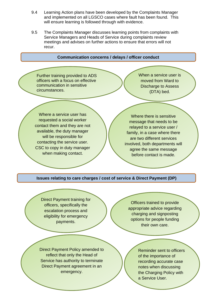- 9.4 Learning Action plans have been developed by the Complaints Manager and implemented on all LGSCO cases where fault has been found. This will ensure learning is followed through with evidence.
- 9.5 The Complaints Manager discusses learning points from complaints with Service Managers and Heads of Service during complaints review meetings and advises on further actions to ensure that errors will not recur.



Direct Payment agreement in an Direct Payment Policy amended to reflect that only the Head of Service has authority to terminate emergency.

Reminder sent to officers of the importance of recording accurate case notes when discussing the Charging Policy with a Service User.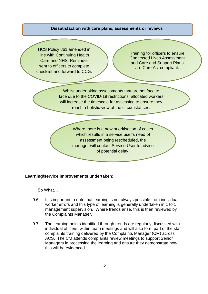#### **Dissatisfaction with care plans, assessments or reviews**

HCS Policy 861 amended in line with Continuing Health Care and NHS. Reminder sent to officers to complete checklist and forward to CCG.

Training for officers to ensure Connected Lives Assessment and Care and Support Plans are Care Act compliant.

Whilst undertaking assessments that are not face to face due to the COVID-19 restrictions, allocated workers will increase the timescale for assessing to ensure they reach a holistic view of the circumstances.

> Where there is a new prioritisation of cases which results in a service user's need of assessment being rescheduled, the manager will contact Service User to advise of potential delay.

#### **Learning/service improvements undertaken:**

So What…

- 9.6 It is important to note that learning is not always possible from individual worker errors and this type of learning is generally undertaken in 1 to 1 management supervision. Where trends arise, this is then reviewed by the Complaints Manager.
- 9.7 The learning points identified through trends are regularly discussed with individual officers, within team meetings and will also form part of the staff complaints training delivered by the Complaints Manager (CM) across ACS. The CM attends complaints review meetings to support Senior Managers in processing the learning and ensure they demonstrate how this will be evidenced.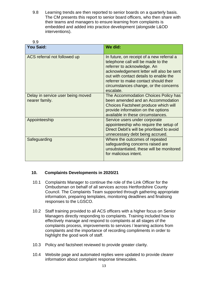9.8 Learning trends are then reported to senior boards on a quarterly basis. The CM presents this report to senior board officers, who then share with their teams and managers to ensure learning from complaints is embedded and added into practice development (alongside L&OD interventions).

| 9.9                                                 |                                                                                                                                                                                                                                                                                                     |  |
|-----------------------------------------------------|-----------------------------------------------------------------------------------------------------------------------------------------------------------------------------------------------------------------------------------------------------------------------------------------------------|--|
| <b>You Said:</b>                                    | We did:                                                                                                                                                                                                                                                                                             |  |
| ACS referral not followed up                        | In future, on receipt of a new referral a<br>telephone call will be made to the<br>referrer to acknowledge. An<br>acknowledgement letter will also be sent<br>out with contact details to enable the<br>referrer to make contact should their<br>circumstances change, or the concerns<br>escalate. |  |
| Delay in service user being moved<br>nearer family. | The Accommodation Choices Policy has<br>been amended and an Accommodation<br>Choices Factsheet produce which will<br>provide information on the options<br>available in these circumstances.                                                                                                        |  |
| Appointeeship                                       | Service users under corporate<br>appointeeship who require the setup of<br>Direct Debit's will be prioritised to avoid<br>unnecessary debt being accrued.                                                                                                                                           |  |
| Safeguarding                                        | Where the outcomes of repeated<br>safeguarding concerns raised are<br>unsubstantiated, these will be monitored<br>for malicious intent.                                                                                                                                                             |  |

#### **10. Complaints Developments in 2020/21**

- 10.1 Complaints Manager to continue the role of the Link Officer for the Ombudsman on behalf of all services across Hertfordshire County Council. The Complaints Team supported through gathering appropriate information, preparing templates, monitoring deadlines and finalising responses to the LGSCO.
- 10.2 Staff training provided to all ACS officers with a higher focus on Senior Managers directly responding to complaints. Training included how to effectively manage and respond to complaints at all stages of the complaints process, improvements to services / learning actions from complaints and the importance of recording compliments in order to highlight the good work of staff.
- 10.3 Policy and factsheet reviewed to provide greater clarity.
- 10.4 Website page and automated replies were updated to provide clearer information about complaint response timescales.